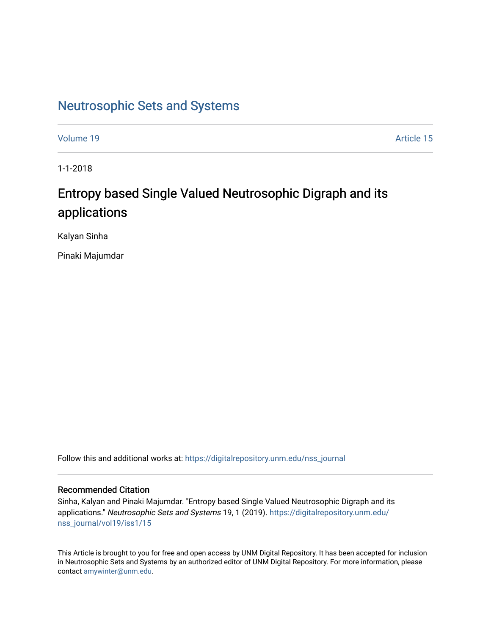# [Neutrosophic Sets and Systems](https://digitalrepository.unm.edu/nss_journal)

[Volume 19](https://digitalrepository.unm.edu/nss_journal/vol19) Article 15

1-1-2018

# Entropy based Single Valued Neutrosophic Digraph and its applications

Kalyan Sinha

Pinaki Majumdar

Follow this and additional works at: [https://digitalrepository.unm.edu/nss\\_journal](https://digitalrepository.unm.edu/nss_journal?utm_source=digitalrepository.unm.edu%2Fnss_journal%2Fvol19%2Fiss1%2F15&utm_medium=PDF&utm_campaign=PDFCoverPages) 

## Recommended Citation

Sinha, Kalyan and Pinaki Majumdar. "Entropy based Single Valued Neutrosophic Digraph and its applications." Neutrosophic Sets and Systems 19, 1 (2019). [https://digitalrepository.unm.edu/](https://digitalrepository.unm.edu/nss_journal/vol19/iss1/15?utm_source=digitalrepository.unm.edu%2Fnss_journal%2Fvol19%2Fiss1%2F15&utm_medium=PDF&utm_campaign=PDFCoverPages) [nss\\_journal/vol19/iss1/15](https://digitalrepository.unm.edu/nss_journal/vol19/iss1/15?utm_source=digitalrepository.unm.edu%2Fnss_journal%2Fvol19%2Fiss1%2F15&utm_medium=PDF&utm_campaign=PDFCoverPages) 

This Article is brought to you for free and open access by UNM Digital Repository. It has been accepted for inclusion in Neutrosophic Sets and Systems by an authorized editor of UNM Digital Repository. For more information, please contact [amywinter@unm.edu](mailto:amywinter@unm.edu).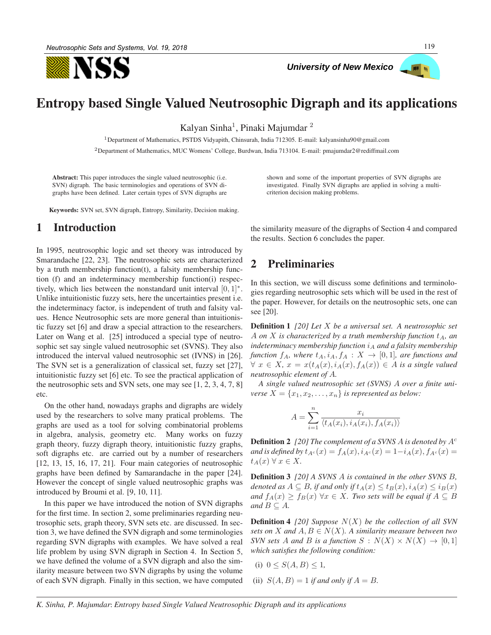

*University of New Mexico* 



## Entropy based Single Valued Neutrosophic Digraph and its applications

Kalyan Sinha<sup>1</sup>, Pinaki Majumdar<sup>2</sup>

<sup>1</sup>Department of Mathematics, PSTDS Vidyapith, Chinsurah, India 712305. E-mail: kalyansinha $90@$ gmail.com

<sup>2</sup>Department of Mathematics, MUC Womens' College, Burdwan, India 713104. E-mail: pmajumdar2@rediffmail.com

Abstract: This paper introduces the single valued neutrosophic (i.e. SVN) digraph. The basic terminologies and operations of SVN digraphs have been defined. Later certain types of SVN digraphs are

Keywords: SVN set, SVN digraph, Entropy, Similarity, Decision making.

## 1 Introduction

In 1995, neutrosophic logic and set theory was introduced by Smarandache [22, 23]. The neutrosophic sets are characterized by a truth membership function(t), a falsity membership function (f) and an indeterminacy membership function(i) respectively, which lies between the nonstandard unit interval  $[0, 1]^*$ . Unlike intuitionistic fuzzy sets, here the uncertainties present i.e. the indeterminacy factor, is independent of truth and falsity values. Hence Neutrosophic sets are more general than intuitionistic fuzzy set [6] and draw a special attraction to the researchers. Later on Wang et al. [25] introduced a special type of neutrosophic set say single valued neutrosophic set (SVNS). They also introduced the interval valued neutrosophic set (IVNS) in [26]. The SVN set is a generalization of classical set, fuzzy set [27], intuitionistic fuzzy set [6] etc. To see the practical application of the neutrosophic sets and SVN sets, one may see [1, 2, 3, 4, 7, 8] etc.

On the other hand, nowadays graphs and digraphs are widely used by the researchers to solve many pratical problems. The graphs are used as a tool for solving combinatorial problems in algebra, analysis, geometry etc. Many works on fuzzy graph theory, fuzzy digraph theory, intuitionistic fuzzy graphs, soft digraphs etc. are carried out by a number of researchers [12, 13, 15, 16, 17, 21]. Four main categories of neutrosophic graphs have been defined by Samarandache in the paper [24]. However the concept of single valued neutrosophic graphs was introduced by Broumi et al. [9, 10, 11].

In this paper we have introduced the notion of SVN digraphs for the first time. In section 2, some preliminaries regarding neutrosophic sets, graph theory, SVN sets etc. are discussed. In section 3, we have defined the SVN digraph and some terminologies regarding SVN digraphs with examples. We have solved a real life problem by using SVN digraph in Section 4. In Section 5, we have defined the volume of a SVN digraph and also the similarity measure between two SVN digraphs by using the volume of each SVN digraph. Finally in this section, we have computed shown and some of the important properties of SVN digraphs are investigated. Finally SVN digraphs are applied in solving a multicriterion decision making problems.

the similarity measure of the digraphs of Section 4 and compared the results. Section 6 concludes the paper.

## 2 Preliminaries

In this section, we will discuss some definitions and terminologies regarding neutrosophic sets which will be used in the rest of the paper. However, for details on the neutrosophic sets, one can see [20].

Definition 1 *[20] Let* X *be a universal set. A neutrosophic set* A *on* X is characterized by a truth membership function  $t_A$ , an *indeterminacy membership function*  $i_A$  *and a falsity membership function*  $f_A$ *, where*  $t_A$ *,*  $i_A$ *,*  $f_A$  :  $X \rightarrow [0, 1]$ *, are functions and*  $\forall x \in X$ ,  $x = x(t_A(x), i_A(x), f_A(x)) \in A$  *is a single valued neutrosophic element of* A*.*

*A single valued neutrosophic set (SVNS)* A *over a finite universe*  $X = \{x_1, x_2, \ldots, x_n\}$  *is represented as below:* 

$$
A = \sum_{i=1}^{n} \frac{x_i}{\langle t_A(x_i), i_A(x_i), f_A(x_i) \rangle}
$$

Definition 2 *[20] The complement of a SVNS* A *is denoted by* A<sup>c</sup> *and is defined by*  $t_{A^c}(x) = f_A(x), i_{A^c}(x) = 1-i_A(x), f_{A^c}(x) =$  $t_A(x)$   $\forall x \in X$ .

Definition 3 *[20] A SVNS* A *is contained in the other SVNS* B*, denoted as*  $A \subseteq B$ *, if and only if*  $t_A(x) \le t_B(x)$ *,*  $i_A(x) \le i_B(x)$ *and*  $f_A(x) \ge f_B(x)$   $\forall x \in X$ *. Two sets will be equal if*  $A \subseteq B$ *and*  $B \subseteq A$ *.* 

Definition 4 *[20] Suppose* N(X) *be the collection of all SVN sets on X* and  $A, B \in N(X)$ *. A similarity measure between two SVN sets* A *and* B *is a function*  $S: N(X) \times N(X) \rightarrow [0,1]$ *which satisfies the following condition:*

(i) 
$$
0 \le S(A, B) \le 1
$$
,

(ii)  $S(A, B) = 1$  *if and only if*  $A = B$ .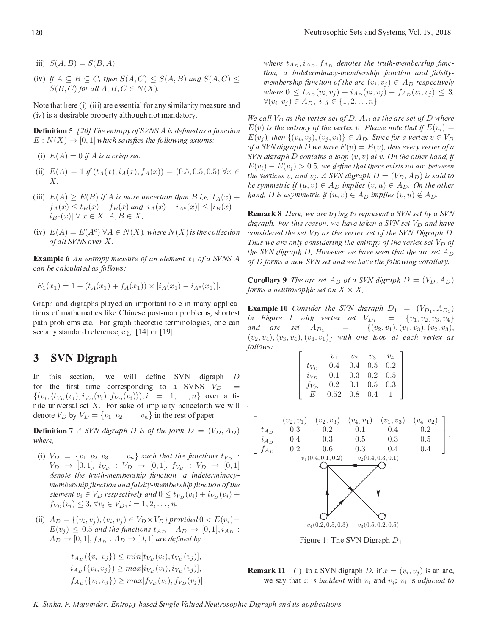- iii)  $S(A, B) = S(B, A)$
- (iv) If  $A \subseteq B \subseteq C$ , then  $S(A, C) \leq S(A, B)$  and  $S(A, C) \leq$  $S(B, C)$  for all  $A, B, C \in N(X)$

Note that here  $(i)$ - $(iii)$  are essential for any similarity measure an  $\mathcal{L} \mathbf{P} = \mathbf{P} \mathbf{P} = \mathbf{P} \mathbf{P} \mathbf{P} = \mathbf{P} \mathbf{P} \mathbf{P} \mathbf{P} \mathbf{P} \mathbf{P} \mathbf{P} \mathbf{P} \mathbf{P} \mathbf{P} \mathbf{P} \mathbf{P} \mathbf{P} \mathbf{P} \mathbf{P} \mathbf{P} \mathbf{P} \mathbf{P} \mathbf{P} \mathbf{P} \mathbf{P} \mathbf{P} \mathbf{P} \mathbf{P} \mathbf{P} \mathbf{P} \mathbf{P} \mathbf{P} \mathbf{P} \$ 

**Definition 5** [20] The entropy of SVNS A is defined as a functio.  $E: N(X) \rightarrow [0,1]$  which satisfies the following axioms

- (i)  $E(A) = 0$  if A is a crisp set.
- (ii)  $E(A) = 1$  if  $(t_A(x), i_A(x), f_A(x)) = (0.5, 0.5, 0.5)$   $\forall x \in$  $X<sub>l</sub>$
- (iii)  $E(A) \ge E(B)$  if A is more uncertain than B i.e.  $t_A(x)$  +  $f_A(x) \le t_B(x) + f_B(x)$  and  $|i_A(x) - i_{A^c}(x)| \le |i_B(x) - i_{A^c}(x)|$  $i_{B^c}(x) \mid \forall x \in X \ A, B \in X.$
- (iv)  $E(A) = E(A^c) \forall A \in N(X)$ , where  $N(X)$  is the collectio. of all SVNS over X

**Example 6** An entropy measure of an element  $x_1$  of a SVNS A can be calculated as follows

$$
E_1(x_1) = 1 - (t_A(x_1) + f_A(x_1)) \times |i_A(x_1) - i_{A^c}(x_1)|.
$$

<sup>P</sup> ) - - & tions of mathematics like Chinese post-man problems, shortes ( - - <sup>S</sup> ) - - - ) - see anv standard reference, e.g. [14] or [19]

#### 3 **SVN Digraph**

 $In$  - <sup>Z</sup> - <sup>Z</sup> - [ -  ) D for the first time corresponding to a SVNS  $V_D =$  $\{(v_i, \langle t_{V_D}(v_i), i_{V_D}(v_i), f_{V_D}(v_i) \rangle), i = 1, ..., n\}$  over a fi nite universal set X. For sake of implicity henceforth we wil denote  $V_D$  by  $V_D = \{v_1, v_2, \ldots, v_n\}$  in the rest of paper

**Definition 7** A SVN digraph D is of the form  $D = (V_D, A_D)$ where

- (i)  $V_D = \{v_1, v_2, v_3, \ldots, v_n\}$  such that the functions  $t_{V_D}$ :  $V_D \rightarrow [0, 1], i_{V_D} : V_D \rightarrow [0, 1], f_{V_D} : V_D \rightarrow [0, 1]$ denote the truth-membership function, a indeterminacy membership function and falsity-membership function of th element  $v_i \in V_D$  respectively and  $0 \le t_{V_D}(v_i) + i_{V_D}(v_i) +$  $f_{V_D}(v_i) \leq 3, \forall v_i \in V_D, i = 1, 2, \ldots, n.$
- (ii)  $A_D = \{(v_i, v_j); (v_i, v_j) \in V_D \times V_D\}$  provided  $0 < E(v_i)$  - $E(v_j) \leq 0.5$  and the functions  $t_{A_D} : A_D \to [0,1], i_{A_D}$ :  $A_D \rightarrow [0,1], f_{A_D}: A_D \rightarrow [0,1]$  are defined b

 $t_{A_D}(\{v_i, v_j\}) \leq min[t_{V_D}(v_i), t_{V_D}(v_j)],$  $i_{A_D}(\{v_i, v_j\}) \ge max[i_{V_D}(v_i), i_{V_D}(v_j)],$  $f_{A_D}(\{v_i, v_j\}) \geq max[f_{V_D}(v_i), f_{V_D}(v_j)]$  where  $t_{A_D}, i_{A_D}, f_{A_D}$  denotes the truth-membership func tion, a indeterminacy-membership function and falsity membership function of the arc  $(v_i, v_j) \in A_D$  respectivel where  $0 \leq t_{A_D}(v_i, v_j) + i_{A_D}(v_i, v_j) + f_{A_D}(v_i, v_j) \leq 3$  $\forall (v_i, v_j) \in A_D, i, j \in \{1, 2, \dots n\}$ 

We call  $V_D$  as the vertex set of D,  $A_D$  as the arc set of D wher  $E(v)$  is the entropy of the vertex v. Please note that if  $E(v_i) =$  $E(v_j)$ , then  $\{(v_i, v_j), (v_j, v_i)\}\in A_D$ . Since for a vertex  $v\in V_D$ of a SVN digraph D we have  $E(v) = E(v)$ , thus every vertex of SVN digraph D contains a loop  $(v, v)$  at v. On the other hand,  $E(v_i) - E(v_j) > 0.5$ , we define that there exists no arc betwee the vertices  $v_i$  and  $v_j$ . A SVN digraph  $D = (V_D, A_D)$  is said to be symmetric if  $(u, v) \in A_D$  implies  $(v, u) \in A_D$ . On the other hand, D is asymmetric if  $(u, v) \in A_D$  implies  $(v, u) \notin A_D$ 

**Remark 8** Here, we are trying to represent a SVN set by a SV. digraph. For this reason, we have taken a SVN set  $V_D$  and have considered the set  $V_D$  as the vertex set of the SVN Digraph D Thus we are only considering the entropy of the vertex set  $V_D$  c the SVN digraph D. However we have seen that the arc set  $A_D$ of D forms a new SVN set and we have the following corollary

**Corollary 9** The arc set  $A_D$  of a SVN digraph  $D = (V_D, A_D)$ forms a neutrosophic set on  $X \times X$ 

**Example 10** Consider the SVN digraph  $D_1 = (V_{D_1}, A_{D_1})$ in Figure 1 with vertex set  $V_{D_1} = \{v_1, v_2, v_3, v_4\}$ and a  $= \{ (v_2, v_1), (v_1, v_3), (v_2, v_3),\}$  $(v_2, v_4), (v_3, v_4), (v_4, v_1) \}$  with one loop at each vertex a follows

|                  | $v_1$                      | $v_2$           | $v_3$                     | $v_4$ |
|------------------|----------------------------|-----------------|---------------------------|-------|
| $t_{V_{\rm{B}}}$ | 0.4                        |                 | $0.4 \quad 0.5$           | 0.2   |
| $i_{V_D}$        | 0.1                        |                 | $0.3 \quad 0.2 \quad 0.5$ |       |
| $f_{V_D}$        | 0.2                        | $0.1 \quad 0.5$ |                           | 0.3   |
|                  | $0.52 \quad 0.8 \quad 0.4$ |                 |                           |       |



Figure 1: The SVN Digraph  $D_1$ 

**Remark 11** (i) In a SVN digraph D, if  $x = (v_i, v_j)$  is an arc we say that x is *incident* with  $v_i$  and  $v_j$ ;  $v_i$  is *adjacent to*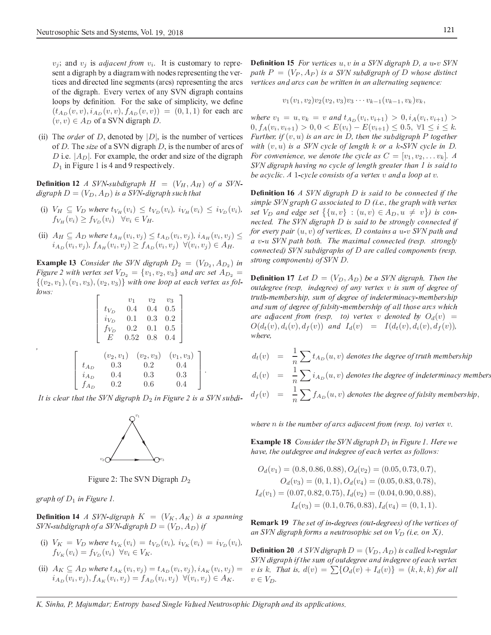$v_i$ ; and  $v_i$  is *adjacent from*  $v_i$ . It is customary to represent a digraph by a diagram with nodes representing the vertices and directed line segments (arcs) representing the arcs of the digraph. Every vertex of any SVN digraph contains loops by definition. For the sake of simplicity, we define  $(t_{A_D}(v, v), i_{A_D}(v, v), f_{A_D}(v, v)) = (0, 1, 1)$  for each arc  $(v, v) \in A_D$  of a SVN digraph D.

(ii) The *order* of *D*, denoted by  $|D|$ , is the number of vertices of  $D$ . The size of a SVN digraph  $D$ , is the number of arcs of D i.e.  $|A_D|$ . For example, the order and size of the digraph  $D_1$  in Figure 1 is 4 and 9 respectively.

**Definition 12** A SVN-subdigraph  $H = (V_H, A_H)$  of a SVNdigraph  $D = (V_D, A_D)$  is a SVN-digraph such that

- (i)  $V_H \subseteq V_D$  where  $t_{V_H}(v_i) \leq t_{V_D}(v_i)$ ,  $i_{V_H}(v_i) \leq i_{V_D}(v_i)$ ,  $f_{V_H}(v_i) \geq f_{V_D}(v_i)$   $\forall v_i \in V_H$ .
- (ii)  $A_H \subseteq A_D$  where  $t_{A_H}(v_i, v_j) \le t_{A_D}(v_i, v_j)$ ,  $i_{A_H}(v_i, v_j) \le$  $i_{A_D}(v_i, v_j)$ ,  $f_{A_H}(v_i, v_j) \geq f_{A_D}(v_i, v_j)$   $\forall (v_i, v_j) \in A_H$ .

**Example 13** Consider the SVN digraph  $D_2 = (V_{D_2}, A_{D_2})$  in Figure 2 with vertex set  $V_{D_2} = \{v_1, v_2, v_3\}$  and arc set  $A_{D_2} =$  $\{(v_2, v_1), (v_1, v_3), (v_2, v_3)\}\$  with one loop at each vertex as follows:

$$
\begin{bmatrix}\nv_1 & v_2 & v_3 \\
t_{V_D} & 0.4 & 0.4 & 0.5 \\
i_{V_D} & 0.1 & 0.3 & 0.2 \\
f_{V_D} & 0.2 & 0.1 & 0.5 \\
E & 0.52 & 0.8 & 0.4\n\end{bmatrix}
$$
\n
$$
(v_2, v_1) \quad (v_2, v_3) \quad (v_1, v_3)
$$
\n
$$
t_{A_D} \quad 0.3 \quad 0.2 \quad 0.4
$$
\n
$$
i_{A_D} \quad 0.4 \quad 0.3 \quad 0.3
$$
\n
$$
f_{A_D} \quad 0.2 \quad 0.6 \quad 0.4
$$

It is clear that the SVN digraph  $D_2$  in Figure 2 is a SVN subdi-



Figure 2: The SVN Digraph  $D_2$ 

graph of  $D_1$  in Figure 1.

**Definition 14** A SVN-digraph  $K = (V_K, A_K)$  is a spanning SVN-subdigraph of a SVN-digraph  $D = (V_D, A_D)$  if

- (i)  $V_K = V_D$  where  $t_{V_K}(v_i) = t_{V_D}(v_i)$ ,  $i_{V_K}(v_i) = i_{V_D}(v_i)$ ,<br> $f_{V_K}(v_i) = f_{V_D}(v_i)$   $\forall v_i \in V_K$ .
- (ii)  $A_K \subseteq A_D$  where  $t_{A_K}(v_i, v_j) = t_{A_D}(v_i, v_j), i_{A_K}(v_i, v_j) =$  $i_{A_D}(v_i, v_j), f_{A_K}(v_i, v_j) = f_{A_D}(v_i, v_j) \ \ \forall (v_i, v_j) \in A_K.$

**Definition 15** For vertices  $u, v$  in a SVN digraph D, a  $u$ -v SVN path  $P = (V_P, A_P)$  is a SVN subdigraph of D whose distinct vertices and arcs can be written in an alternating sequence:

$$
v_1(v_1, v_2)v_2(v_2, v_3)v_3\cdots v_{k-1}(v_{k-1}, v_k)v_k,
$$

where  $v_1 = u, v_k = v$  and  $t_{A_D}(v_i, v_{i+1}) > 0, i_A(v_i, v_{i+1}) >$  $0, f_A(v_i, v_{i+1}) > 0, 0 < E(v_i) - E(v_{i+1}) \leq 0.5, \ \forall 1 \leq i \leq k.$ Further, if  $(v, u)$  is an arc in D, then the subdigraph P together with  $(v, u)$  is a SVN cycle of length k or a k-SVN cycle in D. For convenience, we denote the cycle as  $C = [v_1, v_2, \dots v_k]$ . A SVN digraph having no cycle of length greater than 1 is said to be acyclic. A 1-cycle consists of a vertex  $v$  and a loop at  $v$ .

**Definition 16**  $\Lambda$  SVN digraph  $D$  is said to be connected if the simple SVN graph  $G$  associated to  $D$  (i.e., the graph with vertex set  $V_D$  and edge set  $\{ \{u, v\} : (u, v) \in A_D, u \neq v \}$  is connected. The SVN digraph D is said to be strongly connected if for every pair  $(u, v)$  of vertices, D contains a  $u$ -v SVN path and a v-u SVN path both. The maximal connected (resp. strongly connected) SVN subdigraphs of D are called components (resp. strong components) of SVN D.

**Definition 17** Let  $D = (V_D, A_D)$  be a SVN digraph. Then the outdegree (resp. indegree) of any vertex  $v$  is sum of degree of truth-membership, sum of degree of indeterminacy-membership and sum of degree of falsity-membership of all those arcs which are adjacent from (resp. to) vertex v denoted by  $O_d(v)$  =  $O(d_t(v), d_i(v), d_f(v))$  and  $I_d(v) = I(d_t(v), d_i(v), d_f(v))$ , where,

 $d_t(v) = \frac{1}{n} \sum t_{A_D}(u, v)$  denotes the degree of truth membership  $d_i(v) = \frac{1}{n} \sum i_{A_D}(u, v)$  denotes the degree of indeterminacy members  $d_f(v) = \frac{1}{n} \sum f_{A_D}(u, v)$  denotes the degree of falsity membership,

where  $n$  is the number of arcs adjacent from (resp. to) vertex  $v$ .

**Example 18** Consider the SVN digraph  $D_1$  in Figure 1. Here we have, the outdegree and indegree of each vertex as follows:

$$
O_d(v_1) = (0.8, 0.86, 0.88), O_d(v_2) = (0.05, 0.73, 0.7),
$$
  
\n
$$
O_d(v_3) = (0, 1, 1), O_d(v_4) = (0.05, 0.83, 0.78),
$$
  
\n
$$
I_d(v_1) = (0.07, 0.82, 0.75), I_d(v_2) = (0.04, 0.90, 0.88),
$$
  
\n
$$
I_d(v_3) = (0.1, 0.76, 0.83), I_d(v_4) = (0, 1, 1).
$$

**Remark 19** The set of in-degrees (out-degrees) of the vertices of an SVN digraph forms a neutrosophic set on  $V_D$  (i.e. on X).

**Definition 20** A SVN digraph  $D = (V_D, A_D)$  is called k-regular SVN digraph if the sum of outdegree and indegree of each vertex v is k. That is,  $d(v) = \sum \{O_d(v) + I_d(v)\} = (k, k, k)$  for all  $v \in V_D$ .

K. Sinha, P. Majumdar; Entropy based Single Valued Neutrosophic Digraph and its applications.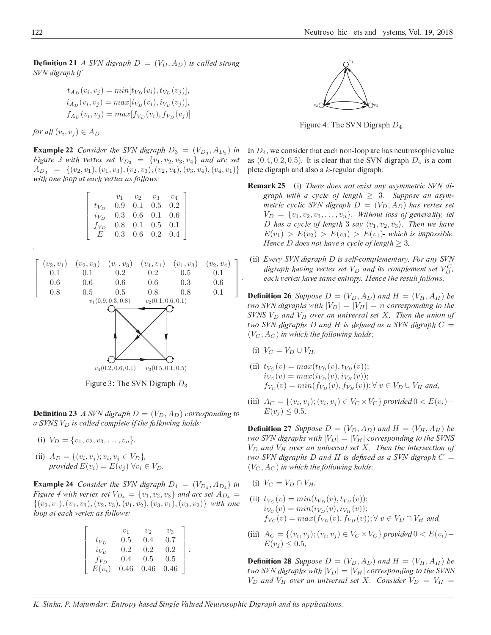**Definition 21** A SVN digraph  $D = (V_D, A_D)$  is called strong SVN digraph if

$$
t_{A_D}(v_i, v_j) = min[t_{V_D}(v_i), t_{V_D}(v_j)],
$$
  
\n
$$
i_{A_D}(v_i, v_j) = max[i_{V_D}(v_i), i_{V_D}(v_j)],
$$
  
\n
$$
f_{A_D}(v_i, v_j) = max[f_{V_D}(v_i), f_{V_D}(v_j)]
$$

for all  $(v_i, v_j) \in A_D$ 

**Example 22** Consider the SVN digraph  $D_3 = (V_{D_3}, A_{D_3})$  in Figure 3 with vertex set  $V_{D_3} = \{v_1, v_2, v_3, v_4\}$  and arc set  $A_{D_3} = \{(v_2, v_1), (v_1, v_3), (v_2, v_3), (v_2, v_4), (v_3, v_4), (v_4, v_1)\}\$ with one loop at each vertex as follows:

|           | $v_1$ | $v_2$                               | $v_3$         | $v_4$ |
|-----------|-------|-------------------------------------|---------------|-------|
| $t_{V_D}$ |       | $0.9 \quad 0.1 \quad 0.5 \quad 0.2$ |               |       |
| $i_{V_D}$ |       | $0.3\quad 0.6\quad 0.1\quad 0.6$    |               |       |
| $f_{V_D}$ |       | $0.8$ $0.1$ $0.5$ $0.1$             |               |       |
| F         |       | $0.3 \quad 0.6$                     | $0.2^{\circ}$ | (0.4) |



Figure 3: The SVN Digraph  $D_3$ 

**Definition 23** A SVN digraph  $D = (V_D, A_D)$  corresponding to a SVNS  $V_D$  is called complete if the following holds:

- (i)  $V_D = \{v_1, v_2, v_3, \ldots, v_n\}.$
- (ii)  $A_D = \{(v_i, v_j); v_i, v_j \in V_D\}$ provided  $E(v_i) = E(v_i)$   $\forall v_i \in V_D$ .

**Example 24** Consider the SVN digraph  $D_4 = (V_{D_4}, A_{D_4})$  in Figure 4 with vertex set  $V_{D_4} = \{v_1, v_2, v_3\}$  and arc set  $A_{D_4}$  $\{(v_2, v_1), (v_1, v_3), (v_2, v_3), (v_1, v_2), (v_3, v_1), (v_3, v_2)\}\$  with one loop at each vertex as follows:

|           | v <sub>1</sub> | v <sub>2</sub> | $v_3$ |  |
|-----------|----------------|----------------|-------|--|
| $t_{V_D}$ | 0.5            | 0.4            | 0.7   |  |
| $i_{V_D}$ | 0.2            | 0.2            | 0.2   |  |
| $f_{V_D}$ | 0.4            | 0.5            | 0.5   |  |
| $E(v_i)$  | 0.46           | 0.46           | 0.46  |  |



Figure 4: The SVN Digraph  $D_4$ 

In  $D_4$ , we consider that each non-loop arc has neutrosophic value as  $(0.4, 0.2, 0.5)$ . It is clear that the SVN digraph  $D_4$  is a complete digraph and also a  $k$ -regular digraph.

- **Remark 25** (i) There does not exist any asymmetric SVN digraph with a cycle of length  $\geq$  3. Suppose an asymmetric cyclic SVN digraph  $D = (V_D, A_D)$  has vertex set  $V_D = \{v_1, v_2, v_3, \ldots, v_n\}$ . Without loss of generality, let D has a cycle of length 3 say  $\langle v_1, v_2, v_3 \rangle$ . Then we have  $E(v_1) > E(v_2) > E(v_3) > E(v_1)$ - which is impossible. Hence D does not have a cycle of length  $> 3$ .
- (ii) Every SVN digraph D is self-complementary. For any SVN digraph having vertex set  $V_D$  and its complement set  $V_D^C$ , each vertex have same entropy. Hence the result follows.

**Definition 26** Suppose  $D = (V_D, A_D)$  and  $H = (V_H, A_H)$  be two SVN digraphs with  $|V_D| = |V_H| = n$  corresponding to the SVNS  $V_D$  and  $V_H$  over an universal set X. Then the union of two SVN digraphs  $D$  and  $H$  is defined as a SVN digraph  $C =$  $(V_C, A_C)$  in which the following holds;

- (i)  $V_C = V_D \cup V_H$ ,
- (ii)  $t_{V_C}(v) = max(t_{V_D}(v), t_{V_H}(v));$  $i_{V_C}(v) = max(i_{V_D}(v), i_{V_H}(v));$  $f_{V_{C}}(v) = min(f_{V_{D}}(v), f_{V_{H}}(v)); \forall v \in V_{D} \cup V_{H}$  and,
- (iii)  $A_C = \{(v_i, v_j); (v_i, v_j) \in V_C \times V_C\}$  provided  $0 < E(v_i)$  $E(v_i) \leq 0.5$

**Definition 27** Suppose  $D = (V_D, A_D)$  and  $H = (V_H, A_H)$  be two SVN digraphs with  $|V_D| = |V_H|$  corresponding to the SVNS  $V_D$  and  $V_H$  over an universal set X. Then the intersection of two SVN digraphs  $D$  and  $H$  is defined as a SVN digraph  $C =$  $(V_C, A_C)$  in which the following holds:

- (i)  $V_C = V_D \cap V_H$ .
- (ii)  $t_{V_C}(v) = min(t_{V_D}(v), t_{V_H}(v));$  $i_{V_C}(v) = min(i_{V_D}(v), i_{V_H}(v));$  $f_{V_{C}}(v) = max(f_{V_{D}}(v), f_{V_{H}}(v))$ ;  $\forall v \in V_{D} \cap V_{H}$  and,
- (iii)  $A_C = \{(v_i, v_i); (v_i, v_i) \in V_C \times V_C\}$  provided  $0 \lt E(v_i)$  - $E(v_i) \leq 0.5$

**Definition 28** Suppose  $D = (V_D, A_D)$  and  $H = (V_H, A_H)$  be two SVN digraphs with  $|V_D| = |V_H|$  corresponding to the SVNS  $V_D$  and  $V_H$  over an universal set X. Consider  $V_D = V_H =$ 

K. Sinha, P. Majumdar; Entropy based Single Valued Neutrosophic Digraph and its applications.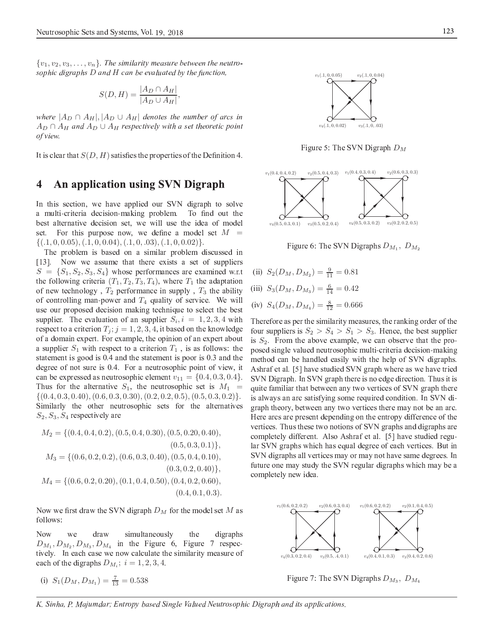$\{v_1, v_2, v_3, \ldots, v_n\}$ . The similarity measure between the neutrosophic digraphs  $D$  and  $H$  can be evaluated by the function,

$$
S(D, H) = \frac{|A_D \cap A_H|}{|A_D \cup A_H|}
$$

where  $|A_D \cap A_H|, |A_D \cup A_H|$  denotes the number of arcs in  $A_D \cap A_H$  and  $A_D \cup A_H$  respectively with a set theoretic point of view.

It is clear that  $S(D, H)$  satisfies the properties of the Definition 4.

#### An application using SVN Digraph 4

In this section, we have applied our SVN digraph to solve a multi-criteria decision-making problem. To find out the best alternative decision set, we will use the idea of model set. For this purpose now, we define a model set  $M =$  $\{(1,0,0.05), (1,0,0.04), (1,0,0.03), (1,0,0.02)\}.$ 

The problem is based on a similar problem discussed in  $\lceil 13 \rceil$ . Now we assume that there exists a set of suppliers  $S = \{S_1, S_2, S_3, S_4\}$  whose performances are examined w.r.t the following criteria  $(T_1, T_2, T_3, T_4)$ , where  $T_1$  the adaptation of new technology,  $T_2$  performance in supply,  $T_3$  the ability of controlling man-power and  $T_4$  quality of service. We will use our proposed decision making technique to select the best supplier. The evaluation of an supplier  $S_i$ ,  $i = 1, 2, 3, 4$  with respect to a criterion  $T_i$ ;  $j = 1, 2, 3, 4$ , it based on the knowledge of a domain expert. For example, the opinion of an expert about a supplier  $S_1$  with respect to a criterion  $T_1$ , is as follows: the statement is good is 0.4 and the statement is poor is 0.3 and the degree of not sure is 0.4. For a neutrosophic point of view, it can be expressed as neutrosophic element  $v_{11} = \{0.4, 0.3, 0.4\}.$ Thus for the alternative  $S_1$ , the neutrosophic set is  $M_1$  =  $\{(0.4, 0.3, 0.40), (0.6, 0.3, 0.30), (0.2, 0.2, 0.5), (0.5, 0.3, 0.2)\}.$ Similarly the other neutrosophic sets for the alternatives  $S_2, S_3, S_4$  respectively are

$$
M_2 = \{(0.4, 0.4, 0.2), (0.5, 0.4, 0.30), (0.5, 0.20, 0.40), (0.5, 0.3, 0.1)\},\
$$

$$
M_3 = \{(0.6, 0.2, 0.2), (0.6, 0.3, 0.40), (0.5, 0.4, 0.10), (0.3, 0.2, 0.40)\},\
$$

$$
M_4 = \{(0.6, 0.2, 0.20), (0.1, 0.4, 0.50), (0.4, 0.2, 0.60), (0.4, 0.1, 0.3)\}
$$

Now we first draw the SVN digraph  $D_M$  for the model set M as follows:

Now draw simultaneously the digraphs we  $D_{M_1}, D_{M_2}, D_{M_3}, D_{M_4}$  in the Figure 6, Figure 7 respectively. In each case we now calculate the similarity measure of each of the digraphs  $D_{M_i}$ ;  $i = 1, 2, 3, 4$ .

(i) 
$$
S_1(D_M, D_{M_1}) = \frac{7}{13} = 0.538
$$

 $v_1(.1, 0, 0.05)$  $v_2(.1, 0, 0.04)$  $v_3(.1, 0, .03)$  $v_4(.1, 0, 0.02)$ 

Figure 5: The SVN Digraph  $D_M$ 



Figure 6: The SVN Digraphs  $D_{M_1}$ ,  $D_{M_2}$ 

(ii)  $S_2(D_M, D_{M_2}) = \frac{9}{11} = 0.81$ (iii)  $S_3(D_M, D_{M_3}) = \frac{6}{14} = 0.42$ (iv)  $S_4(D_M, D_{M_4}) = \frac{8}{12} = 0.666$ 

Therefore as per the similarity measures, the ranking order of the four suppliers is  $S_2 > S_4 > S_1 > S_3$ . Hence, the best supplier is  $S_2$ . From the above example, we can observe that the proposed single valued neutrosophic multi-criteria decision-making method can be handled easily with the help of SVN digraphs. Ashraf et al. [5] have studied SVN graph where as we have tried SVN Digraph. In SVN graph there is no edge direction. Thus it is quite familiar that between any two vertices of SVN graph there is always an arc satisfying some required condition. In SVN digraph theory, between any two vertices there may not be an arc. Here arcs are present depending on the entropy difference of the vertices. Thus these two notions of SVN graphs and digraphs are completely different. Also Ashraf et al. [5] have studied regular SVN graphs which has equal degree of each vertices. But in SVN digraphs all vertices may or may not have same degrees. In future one may study the SVN regular digraphs which may be a completely new idea.



Figure 7: The SVN Digraphs  $D_{M_3}$ ,  $D_{M_4}$ 

K. Sinha, P. Majumdar; Entropy based Single Valued Neutrosophic Digraph and its applications.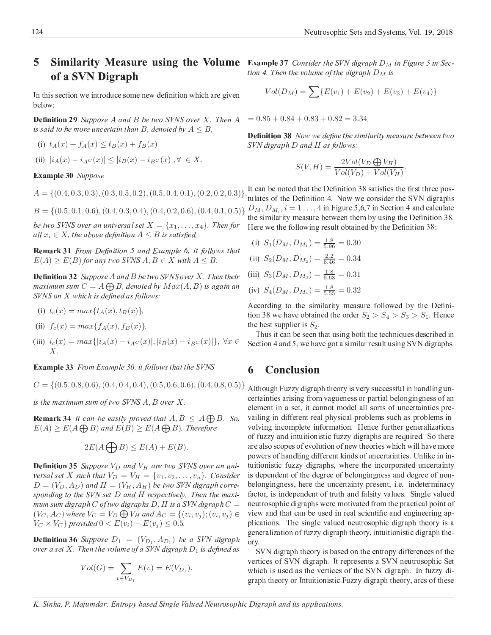#### 5 **Similarity Measure using the Volume** Example 37 Consider the SVN digraph  $D_M$  in Figure 5 in Secof a SVN Digraph

In this section we introduce some new definition which are given below:

**Definition 29** Suppose  $A$  and  $B$  be two SVNS over  $X$ . Then  $A$ is said to be more uncertain than B, denoted by  $A \leq B$ .

(i)  $t_A(x) + f_A(x) \le t_B(x) + f_B(x)$ (ii)  $|i_A(x) - i_{A}c(x)| \leq |i_B(x) - i_{B}c(x)|, \forall \in X.$ 

### Example 30 Suppose

be two SVNS over an universal set  $X = \{x_1, \ldots, x_4\}$ . Then for all  $x_i \in X$ , the above definition  $A \leq B$  is satisfied.

**Remark 31** From Definition 5 and Example 6, it follows that  $E(A) \ge E(B)$  for any two SVNS  $A, B \in X$  with  $A \le B$ .

**Definition 32** Suppose A and B be two SVNS over X. Then their maximum sum  $C = A \bigoplus B$ , denoted by  $Max(A, B)$  is again an SVNS on X which is defined as follows:

- (i)  $t_c(x) = max\{t_A(x), t_B(x)\},\$
- (ii)  $f_c(x) = max{f_A(x), f_B(x)}$
- (iii)  $i_c(x) = max\{ |i_A(x) i_{A}c(x)|, |i_B(x) i_{B}c(x)| \}, \forall x \in$  $X$ .

**Example 33** From Example 30, it follows that the SVNS

 $C = \{(0.5, 0.8, 0.6), (0.4, 0.4, 0.4), (0.5, 0.6, 0.6), (0.4, 0.8, 0.5)\}\$ 

is the maximum sum of two SVNS  $A, B$  over  $X$ .

**Remark 34** It can be easily proved that  $A, B \leq A \bigoplus B$ . So,  $E(A) \ge E(A \bigoplus B)$  and  $E(B) \ge E(A \bigoplus B)$ . Therefore

$$
2E(A \bigoplus B) \le E(A) + E(B).
$$

**Definition 35** Suppose  $V_D$  and  $V_H$  are two SVNS over an universal set X such that  $V_D = V_H = \{v_1, v_2, \dots, v_n\}$ . Consider  $D = (V_D, A_D)$  and  $H = (V_H, A_H)$  be two SVN digraph corresponding to the SVN set D and H respectively. Then the maximum sum digraph  $C$  of two digraphs  $D, H$  is a SVN digraph  $C =$  $(V_C, A_C)$  where  $V_C = V_D \bigoplus V_H$  and  $A_C = \{(v_i, v_j); (v_i, v_j) \in$  $V_C \times V_C$  provided  $0 < E(v_i) - E(v_j) \leq 0.5$ .

**Definition 36** Suppose  $D_1 = (V_{D_1}, A_{D_1})$  be a SVN digraph over a set X. Then the volume of a SVN digraph  $D_1$  is defined as

$$
Vol(G) = \sum_{v \in V_{D_1}} E(v) = E(V_{D_1}).
$$

tion 4. Then the volume of the digraph  $D_M$  is

$$
Vol(D_M) = \sum \{ E(v_1) + E(v_2) + E(v_3) + E(v_4) \}
$$

 $= 0.85 + 0.84 + 0.83 + 0.82 = 3.34.$ 

**Definition 38** Now we define the similarity measure between two SVN digraph D and H as follows:

$$
S(V, H) = \frac{2Vol(V_D \bigoplus V_H)}{Vol(V_D) + Vol(V_H)}
$$

 $A = \{(0.4, 0.3, 0.3), (0.3, 0.5, 0.2), (0.5, 0.4, 0.1), (0.2, 0.2, 0.3)\}\$ , It can be noted that the Definition 4. Now we consider the SVN digraphs  $B = \{(0.5, 0.1, 0.6), (0.4, 0.3, 0.4), (0.4, 0.2, 0.6), (0.4, 0.1, 0.5)\}\ D_M, D_{M_i}, i = 1...$ , 4 in Figure 5,6,7 in Section 4 and calculate the similarity measure between them by using the Definition 38. Here we the following result obtained by the Definition 38:

> (i)  $S_1(D_M, D_{M_1}) = \frac{1.8}{5.96} = 0.30$ (ii)  $S_2(D_M, D_{M_2}) = \frac{2.2}{6.46} = 0.34$ (iii)  $S_3(D_M, D_{M_3}) = \frac{1.8}{5.68} = 0.31$ (iv)  $S_4(D_M, D_{M_4}) = \frac{1.8}{5.55} = 0.32$

According to the similarity measure followed by the Definition 38 we have obtained the order  $S_2 > S_4 > S_3 > S_1$ . Hence the best supplier is  $S_2$ .

Thus it can be seen that using both the techniques described in Section 4 and 5, we have got a similar result using SVN digraphs.

#### 6 **Conclusion**

Although Fuzzy digraph theory is very successful in handling uncertainties arising from vagueness or partial belongingness of an element in a set, it cannot model all sorts of uncertainties prevailing in different real physical problems such as problems involving incomplete information. Hence further generalizations of fuzzy and intuitionistic fuzzy digraphs are required. So there are also scopes of evolution of new theories which will have more powers of handling different kinds of uncertainties. Unlike in intuitionistic fuzzy digraphs, where the incorporated uncertainty is dependent of the degree of belongingness and degree of nonbelongingness, here the uncertainty present, i.e. indeterminacy factor, is independent of truth and falsity values. Single valued neutrosophic digraphs were motivated from the practical point of view and that can be used in real scientific and engineering applications. The single valued neutrosophic digraph theory is a generalization of fuzzy digraph theory, intuitionistic digraph theory.

SVN digraph theory is based on the entropy differences of the vertices of SVN digraph. It represents a SVN neutrosophic Set which is used as the vertices of the SVN digraph. In fuzzy digraph theory or Intuitionistic Fuzzy digraph theory, arcs of these

K. Sinha, P. Majumdar; Entropy based Single Valued Neutrosophic Digraph and its applications.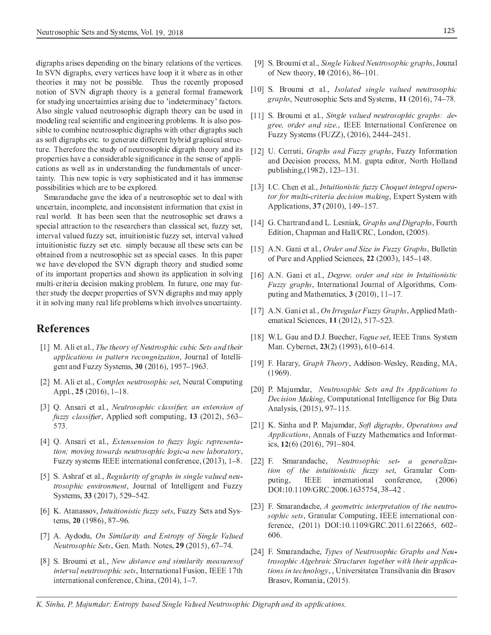digraphs arises depending on the binary relations of the vertices. In SVN digraphs, every vertices have loop it it where as in other theories it may not be possible. Thus the recently proposed notion of SVN digraph theory is a general formal framework for studying uncertainties arising due to 'indeterminacy' factors. Also single valued neutrosophic digraph theory can be used in modeling real scientific and engineering problems. It is also possible to combine neutrosophic digraphs with other digraphs such as soft digraphs etc. to generate different hybrid graphical structure. Therefore the study of neutrosophic digraph theory and its properties have a considerable significance in the sense of applications as well as in understanding the fundamentals of uncertainty. This new topic is very sophisticated and it has immense possibilities which are to be explored.

Smarandache gave the idea of a neutrosophic set to deal with uncertain, incomplete, and inconsistent information that exist in real world. It has been seen that the neutrosophic set draws a special attraction to the researchers than classical set, fuzzy set, interval valued fuzzy set, intuitionistic fuzzy set, interval valued intuitionistic fuzzy set etc. simply because all these sets can be obtained from a neutrosophic set as special cases. In this paper we have developed the SVN digraph theory and studied some of its important properties and shown its application in solving multi-criteria decision making problem. In future, one may further study the deeper properties of SVN digraphs and may apply it in solving many real life problems which involves uncertainty.

## **References**

- [1] M. Ali et al., The theory of Neutrosphic cubic Sets and their *applications in pattern recongnization*, Journal of Intelligent and Fuzzy Systems, 30 (2016), 1957-1963.
- [2] M. Ali et al., Complex neutrosophic set, Neural Computing Appl.,  $25(2016)$ ,  $1-18$ .
- [3] Q. Ansari et al., Neutrosophic classifier, an extension of *fuzzy classifier*, Applied soft computing, 13 (2012), 563– 573.
- [4] Q. Ansari et al., *Extensension to fuzzy logic representa*tion; moving towards neutrosophic logic-a new laboratory, Fuzzy systems IEEE international conference, (2013), 1–8.
- [5] S. Ashraf et al., Regularity of graphs in single valued neutrosophic environment, Journal of Intelligent and Fuzzy Systems, 33 (2017), 529–542.
- [6] K. Atanassov, *Intuitionistic fuzzy sets*, Fuzzy Sets and Systems, 20 (1986), 87-96.
- [7] A. Aydodu, On Similarity and Entropy of Single Valued Neutrosophic Sets, Gen. Math. Notes, 29 (2015), 67-74.
- [8] S. Broumi et al., New distance and similarity measures of *interval neutrosophic sets*, International Fusion, IEEE 17th international conference, China, (2014), 1-7.
- [9] S. Broumi et al., *Single Valued Neutrosophic graphs*, Jounal of New theory, 10 (2016), 86–101.
- [10] S. Broumi et al., Isolated single valued neutrosophic *graphs*, Neutrosophic Sets and Systems, 11 (2016), 74–78.
- [11] S. Broumi et al., Single valued neutrosophic graphs: degree, order and size., IEEE International Conference on Fuzzy Systems (FUZZ), (2016), 2444–2451.
- [12] U. Cerruti, *Graphs and Fuzzy graphs*, Fuzzy Information and Decision process, M.M. gupta editor, North Holland publishing, (1982), 123–131.
- [13] I.C. Chen et al., Intuitionistic fuzzy Choquet integral operator for multi-criteria decision making, Expert System with Applications, 37 (2010), 149-157.
- [14] G. Chartrand and L. Lesniak, Graphs and Digraphs, Fourth Edition, Chapman and Hall/CRC, London, (2005).
- [15] A.N. Gani et al., Order and Size in Fuzzy Graphs, Bulletin of Pure and Applied Sciences,  $22$  (2003), 145–148.
- [16] A.N. Gani et al., Degree, order and size in Intuitionistic *Fuzzy graphs*, International Journal of Algorithms, Computing and Mathematics,  $3(2010)$ ,  $11-17$ .
- [17] A.N. Gani et al., On Irregular Fuzzy Graphs, Applied Mathematical Sciences, 11 (2012), 517-523.
- [18] W.L. Gau and D.J. Buecher, Vague set, IEEE Trans. System Man. Cybernet, 23(2) (1993), 610–614.
- [19] F. Harary, Graph Theory, Addison-Wesley, Reading, MA,  $(1969).$
- [20] P. Majumdar, Neutrosophic Sets and Its Applications to Decision Making, Computational Intelligence for Big Data Analysis, (2015), 97-115.
- [21] K. Sinha and P. Majumdar, Soft digraphs, Operations and Applications, Annals of Fuzzy Mathematics and Informatics, 12(6) (2016), 791-804.
- [22] F. Smarandache, Neutrosophic set- a generalization of the intuitionistic fuzzy set, Granular Computing, **IEEE** international conference,  $(2006)$ DOI:10.1109/GRC.2006.1635754, 38-42.
- [23] F. Smarandache, A geometric interpretation of the neutrosophic sets, Granular Computing, IEEE international conference, (2011) DOI:10.1109/GRC.2011.6122665, 602-606.
- [24] F. Smarandache, Types of Neutrosophic Graphs and Neutrosophic Algebraic Structures together with their applications in technology, , Universitatea Transilvania din Brasov Brasov, Romania, (2015).